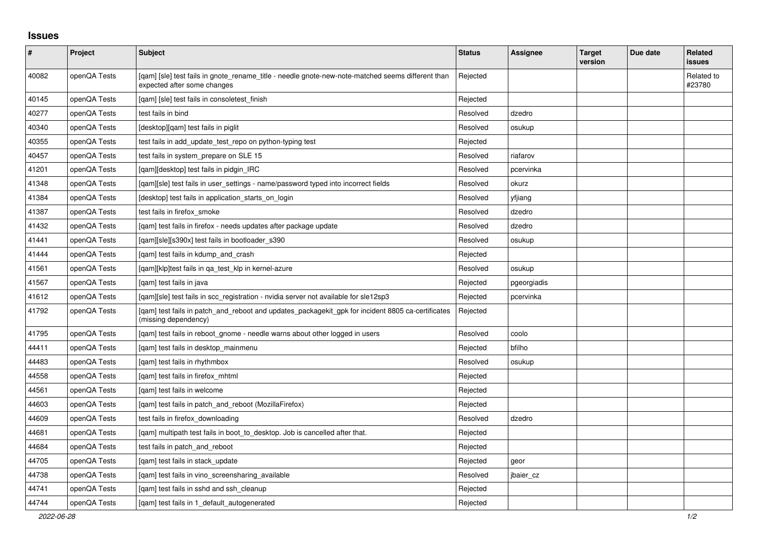## **Issues**

| $\vert$ # | Project      | <b>Subject</b>                                                                                                                   | <b>Status</b> | Assignee    | <b>Target</b><br>version | Due date | Related<br><b>issues</b> |
|-----------|--------------|----------------------------------------------------------------------------------------------------------------------------------|---------------|-------------|--------------------------|----------|--------------------------|
| 40082     | openQA Tests | [gam] [sle] test fails in gnote rename title - needle gnote-new-note-matched seems different than<br>expected after some changes | Rejected      |             |                          |          | Related to<br>#23780     |
| 40145     | openQA Tests | [qam] [sle] test fails in consoletest_finish                                                                                     | Rejected      |             |                          |          |                          |
| 40277     | openQA Tests | test fails in bind                                                                                                               | Resolved      | dzedro      |                          |          |                          |
| 40340     | openQA Tests | [desktop][qam] test fails in piglit                                                                                              | Resolved      | osukup      |                          |          |                          |
| 40355     | openQA Tests | test fails in add_update_test_repo on python-typing test                                                                         | Rejected      |             |                          |          |                          |
| 40457     | openQA Tests | test fails in system_prepare on SLE 15                                                                                           | Resolved      | riafarov    |                          |          |                          |
| 41201     | openQA Tests | [qam][desktop] test fails in pidgin_IRC                                                                                          | Resolved      | pcervinka   |                          |          |                          |
| 41348     | openQA Tests | [gam][sle] test fails in user settings - name/password typed into incorrect fields                                               | Resolved      | okurz       |                          |          |                          |
| 41384     | openQA Tests | [desktop] test fails in application starts on login                                                                              | Resolved      | yfjiang     |                          |          |                          |
| 41387     | openQA Tests | test fails in firefox_smoke                                                                                                      | Resolved      | dzedro      |                          |          |                          |
| 41432     | openQA Tests | [gam] test fails in firefox - needs updates after package update                                                                 | Resolved      | dzedro      |                          |          |                          |
| 41441     | openQA Tests | [qam][sle][s390x] test fails in bootloader_s390                                                                                  | Resolved      | osukup      |                          |          |                          |
| 41444     | openQA Tests | [qam] test fails in kdump_and_crash                                                                                              | Rejected      |             |                          |          |                          |
| 41561     | openQA Tests | [gam][klp]test fails in ga test klp in kernel-azure                                                                              | Resolved      | osukup      |                          |          |                          |
| 41567     | openQA Tests | [qam] test fails in java                                                                                                         | Rejected      | pgeorgiadis |                          |          |                          |
| 41612     | openQA Tests | [gam][sle] test fails in scc registration - nvidia server not available for sle12sp3                                             | Rejected      | pcervinka   |                          |          |                          |
| 41792     | openQA Tests | [gam] test fails in patch_and_reboot and updates_packagekit_gpk for incident 8805 ca-certificates<br>(missing dependency)        | Rejected      |             |                          |          |                          |
| 41795     | openQA Tests | [qam] test fails in reboot_gnome - needle warns about other logged in users                                                      | Resolved      | coolo       |                          |          |                          |
| 44411     | openQA Tests | [qam] test fails in desktop_mainmenu                                                                                             | Rejected      | bfilho      |                          |          |                          |
| 44483     | openQA Tests | [gam] test fails in rhythmbox                                                                                                    | Resolved      | osukup      |                          |          |                          |
| 44558     | openQA Tests | [gam] test fails in firefox mhtml                                                                                                | Rejected      |             |                          |          |                          |
| 44561     | openQA Tests | [gam] test fails in welcome                                                                                                      | Rejected      |             |                          |          |                          |
| 44603     | openQA Tests | [qam] test fails in patch_and_reboot (MozillaFirefox)                                                                            | Rejected      |             |                          |          |                          |
| 44609     | openQA Tests | test fails in firefox downloading                                                                                                | Resolved      | dzedro      |                          |          |                          |
| 44681     | openQA Tests | [qam] multipath test fails in boot_to_desktop. Job is cancelled after that.                                                      | Rejected      |             |                          |          |                          |
| 44684     | openQA Tests | test fails in patch and reboot                                                                                                   | Rejected      |             |                          |          |                          |
| 44705     | openQA Tests | [qam] test fails in stack_update                                                                                                 | Rejected      | geor        |                          |          |                          |
| 44738     | openQA Tests | [qam] test fails in vino_screensharing_available                                                                                 | Resolved      | jbaier_cz   |                          |          |                          |
| 44741     | openQA Tests | [gam] test fails in sshd and ssh cleanup                                                                                         | Rejected      |             |                          |          |                          |
| 44744     | openQA Tests | [gam] test fails in 1 default autogenerated                                                                                      | Rejected      |             |                          |          |                          |